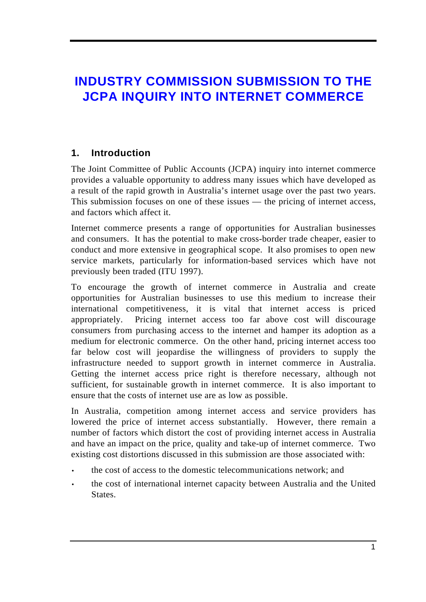# **INDUSTRY COMMISSION SUBMISSION TO THE JCPA INQUIRY INTO INTERNET COMMERCE**

# **1. Introduction**

The Joint Committee of Public Accounts (JCPA) inquiry into internet commerce provides a valuable opportunity to address many issues which have developed as a result of the rapid growth in Australia's internet usage over the past two years. This submission focuses on one of these issues — the pricing of internet access, and factors which affect it.

Internet commerce presents a range of opportunities for Australian businesses and consumers. It has the potential to make cross-border trade cheaper, easier to conduct and more extensive in geographical scope. It also promises to open new service markets, particularly for information-based services which have not previously been traded (ITU 1997).

To encourage the growth of internet commerce in Australia and create opportunities for Australian businesses to use this medium to increase their international competitiveness, it is vital that internet access is priced appropriately. Pricing internet access too far above cost will discourage consumers from purchasing access to the internet and hamper its adoption as a medium for electronic commerce. On the other hand, pricing internet access too far below cost will jeopardise the willingness of providers to supply the infrastructure needed to support growth in internet commerce in Australia. Getting the internet access price right is therefore necessary, although not sufficient, for sustainable growth in internet commerce. It is also important to ensure that the costs of internet use are as low as possible.

In Australia, competition among internet access and service providers has lowered the price of internet access substantially. However, there remain a number of factors which distort the cost of providing internet access in Australia and have an impact on the price, quality and take-up of internet commerce. Two existing cost distortions discussed in this submission are those associated with:

- the cost of access to the domestic telecommunications network; and
- the cost of international internet capacity between Australia and the United States.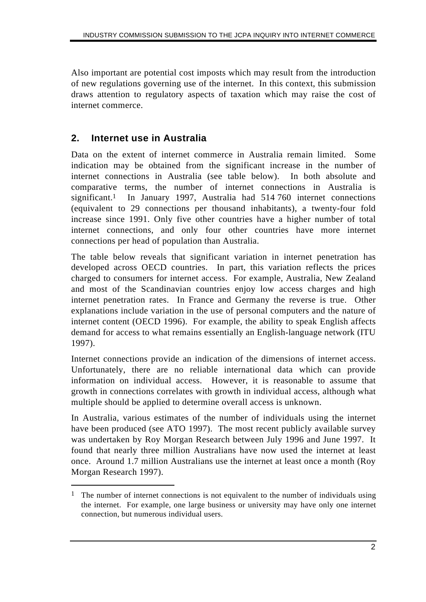Also important are potential cost imposts which may result from the introduction of new regulations governing use of the internet. In this context, this submission draws attention to regulatory aspects of taxation which may raise the cost of internet commerce.

## **2. Internet use in Australia**

 $\overline{a}$ 

Data on the extent of internet commerce in Australia remain limited. Some indication may be obtained from the significant increase in the number of internet connections in Australia (see table below). In both absolute and comparative terms, the number of internet connections in Australia is significant.1 In January 1997, Australia had 514 760 internet connections (equivalent to 29 connections per thousand inhabitants), a twenty-four fold increase since 1991. Only five other countries have a higher number of total internet connections, and only four other countries have more internet connections per head of population than Australia.

The table below reveals that significant variation in internet penetration has developed across OECD countries. In part, this variation reflects the prices charged to consumers for internet access. For example, Australia, New Zealand and most of the Scandinavian countries enjoy low access charges and high internet penetration rates. In France and Germany the reverse is true. Other explanations include variation in the use of personal computers and the nature of internet content (OECD 1996). For example, the ability to speak English affects demand for access to what remains essentially an English-language network (ITU 1997).

Internet connections provide an indication of the dimensions of internet access. Unfortunately, there are no reliable international data which can provide information on individual access. However, it is reasonable to assume that growth in connections correlates with growth in individual access, although what multiple should be applied to determine overall access is unknown.

In Australia, various estimates of the number of individuals using the internet have been produced (see ATO 1997). The most recent publicly available survey was undertaken by Roy Morgan Research between July 1996 and June 1997. It found that nearly three million Australians have now used the internet at least once. Around 1.7 million Australians use the internet at least once a month (Roy Morgan Research 1997).

<sup>&</sup>lt;sup>1</sup> The number of internet connections is not equivalent to the number of individuals using the internet. For example, one large business or university may have only one internet connection, but numerous individual users.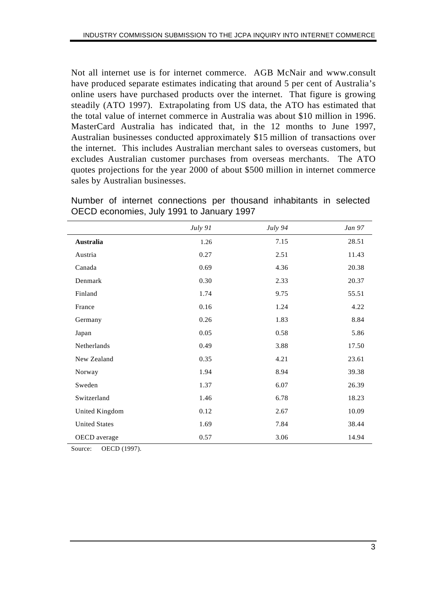Not all internet use is for internet commerce. AGB McNair and www.consult have produced separate estimates indicating that around 5 per cent of Australia's online users have purchased products over the internet. That figure is growing steadily (ATO 1997). Extrapolating from US data, the ATO has estimated that the total value of internet commerce in Australia was about \$10 million in 1996. MasterCard Australia has indicated that, in the 12 months to June 1997, Australian businesses conducted approximately \$15 million of transactions over the internet. This includes Australian merchant sales to overseas customers, but excludes Australian customer purchases from overseas merchants. The ATO quotes projections for the year 2000 of about \$500 million in internet commerce sales by Australian businesses.

Number of internet connections per thousand inhabitants in selected OECD economies, July 1991 to January 1997

|                      | July 91 | July 94 | <i>Jan</i> 97 |
|----------------------|---------|---------|---------------|
| <b>Australia</b>     | 1.26    | 7.15    | 28.51         |
| Austria              | 0.27    | 2.51    | 11.43         |
| Canada               | 0.69    | 4.36    | 20.38         |
| Denmark              | 0.30    | 2.33    | 20.37         |
| Finland              | 1.74    | 9.75    | 55.51         |
| France               | 0.16    | 1.24    | 4.22          |
| Germany              | 0.26    | 1.83    | 8.84          |
| Japan                | 0.05    | 0.58    | 5.86          |
| Netherlands          | 0.49    | 3.88    | 17.50         |
| New Zealand          | 0.35    | 4.21    | 23.61         |
| Norway               | 1.94    | 8.94    | 39.38         |
| Sweden               | 1.37    | 6.07    | 26.39         |
| Switzerland          | 1.46    | 6.78    | 18.23         |
| United Kingdom       | 0.12    | 2.67    | 10.09         |
| <b>United States</b> | 1.69    | 7.84    | 38.44         |
| OECD average         | 0.57    | 3.06    | 14.94         |

Source: OECD (1997).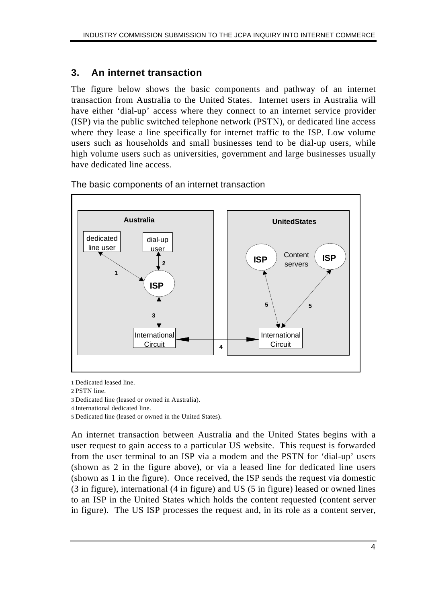## **3. An internet transaction**

The figure below shows the basic components and pathway of an internet transaction from Australia to the United States. Internet users in Australia will have either 'dial-up' access where they connect to an internet service provider (ISP) via the public switched telephone network (PSTN), or dedicated line access where they lease a line specifically for internet traffic to the ISP. Low volume users such as households and small businesses tend to be dial-up users, while high volume users such as universities, government and large businesses usually have dedicated line access.



The basic components of an internet transaction

1 Dedicated leased line.

2 PSTN line.

3 Dedicated line (leased or owned in Australia).

4 International dedicated line.

5 Dedicated line (leased or owned in the United States).

An internet transaction between Australia and the United States begins with a user request to gain access to a particular US website. This request is forwarded from the user terminal to an ISP via a modem and the PSTN for 'dial-up' users (shown as 2 in the figure above), or via a leased line for dedicated line users (shown as 1 in the figure). Once received, the ISP sends the request via domestic (3 in figure), international (4 in figure) and US (5 in figure) leased or owned lines to an ISP in the United States which holds the content requested (content server in figure). The US ISP processes the request and, in its role as a content server,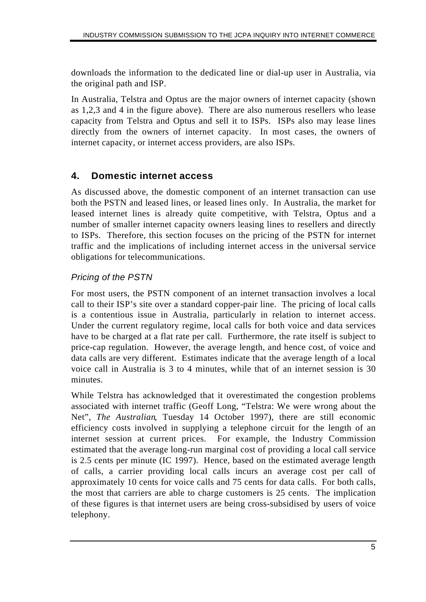downloads the information to the dedicated line or dial-up user in Australia, via the original path and ISP.

In Australia, Telstra and Optus are the major owners of internet capacity (shown as 1,2,3 and 4 in the figure above). There are also numerous resellers who lease capacity from Telstra and Optus and sell it to ISPs. ISPs also may lease lines directly from the owners of internet capacity. In most cases, the owners of internet capacity, or internet access providers, are also ISPs.

## **4. Domestic internet access**

As discussed above, the domestic component of an internet transaction can use both the PSTN and leased lines, or leased lines only. In Australia, the market for leased internet lines is already quite competitive, with Telstra, Optus and a number of smaller internet capacity owners leasing lines to resellers and directly to ISPs. Therefore, this section focuses on the pricing of the PSTN for internet traffic and the implications of including internet access in the universal service obligations for telecommunications.

### *Pricing of the PSTN*

For most users, the PSTN component of an internet transaction involves a local call to their ISP's site over a standard copper-pair line. The pricing of local calls is a contentious issue in Australia, particularly in relation to internet access. Under the current regulatory regime, local calls for both voice and data services have to be charged at a flat rate per call. Furthermore, the rate itself is subject to price-cap regulation. However, the average length, and hence cost, of voice and data calls are very different. Estimates indicate that the average length of a local voice call in Australia is 3 to 4 minutes, while that of an internet session is 30 minutes.

While Telstra has acknowledged that it overestimated the congestion problems associated with internet traffic (Geoff Long, "Telstra: We were wrong about the Net", *The Australian*, Tuesday 14 October 1997), there are still economic efficiency costs involved in supplying a telephone circuit for the length of an internet session at current prices. For example, the Industry Commission estimated that the average long-run marginal cost of providing a local call service is 2.5 cents per minute (IC 1997). Hence, based on the estimated average length of calls, a carrier providing local calls incurs an average cost per call of approximately 10 cents for voice calls and 75 cents for data calls. For both calls, the most that carriers are able to charge customers is 25 cents. The implication of these figures is that internet users are being cross-subsidised by users of voice telephony.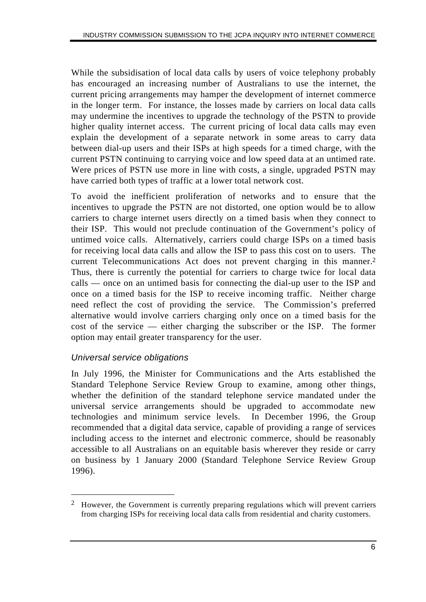While the subsidisation of local data calls by users of voice telephony probably has encouraged an increasing number of Australians to use the internet, the current pricing arrangements may hamper the development of internet commerce in the longer term. For instance, the losses made by carriers on local data calls may undermine the incentives to upgrade the technology of the PSTN to provide higher quality internet access. The current pricing of local data calls may even explain the development of a separate network in some areas to carry data between dial-up users and their ISPs at high speeds for a timed charge, with the current PSTN continuing to carrying voice and low speed data at an untimed rate. Were prices of PSTN use more in line with costs, a single, upgraded PSTN may have carried both types of traffic at a lower total network cost.

To avoid the inefficient proliferation of networks and to ensure that the incentives to upgrade the PSTN are not distorted, one option would be to allow carriers to charge internet users directly on a timed basis when they connect to their ISP. This would not preclude continuation of the Government's policy of untimed voice calls. Alternatively, carriers could charge ISPs on a timed basis for receiving local data calls and allow the ISP to pass this cost on to users. The current Telecommunications Act does not prevent charging in this manner.2 Thus, there is currently the potential for carriers to charge twice for local data calls — once on an untimed basis for connecting the dial-up user to the ISP and once on a timed basis for the ISP to receive incoming traffic. Neither charge need reflect the cost of providing the service. The Commission's preferred alternative would involve carriers charging only once on a timed basis for the cost of the service — either charging the subscriber or the ISP. The former option may entail greater transparency for the user.

### *Universal service obligations*

 $\overline{a}$ 

In July 1996, the Minister for Communications and the Arts established the Standard Telephone Service Review Group to examine, among other things, whether the definition of the standard telephone service mandated under the universal service arrangements should be upgraded to accommodate new technologies and minimum service levels. In December 1996, the Group recommended that a digital data service, capable of providing a range of services including access to the internet and electronic commerce, should be reasonably accessible to all Australians on an equitable basis wherever they reside or carry on business by 1 January 2000 (Standard Telephone Service Review Group 1996).

<sup>2</sup> However, the Government is currently preparing regulations which will prevent carriers from charging ISPs for receiving local data calls from residential and charity customers.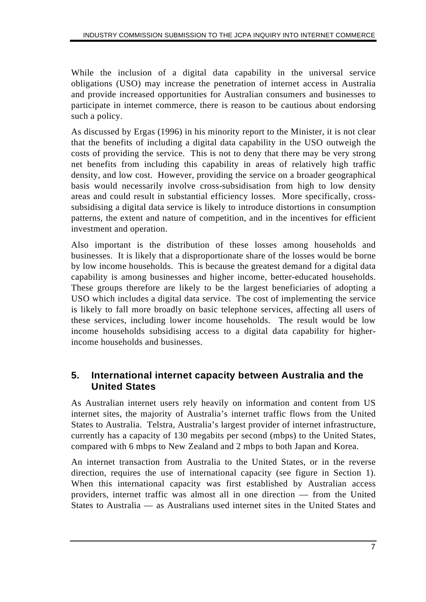While the inclusion of a digital data capability in the universal service obligations (USO) may increase the penetration of internet access in Australia and provide increased opportunities for Australian consumers and businesses to participate in internet commerce, there is reason to be cautious about endorsing such a policy.

As discussed by Ergas (1996) in his minority report to the Minister, it is not clear that the benefits of including a digital data capability in the USO outweigh the costs of providing the service. This is not to deny that there may be very strong net benefits from including this capability in areas of relatively high traffic density, and low cost. However, providing the service on a broader geographical basis would necessarily involve cross-subsidisation from high to low density areas and could result in substantial efficiency losses. More specifically, crosssubsidising a digital data service is likely to introduce distortions in consumption patterns, the extent and nature of competition, and in the incentives for efficient investment and operation.

Also important is the distribution of these losses among households and businesses. It is likely that a disproportionate share of the losses would be borne by low income households. This is because the greatest demand for a digital data capability is among businesses and higher income, better-educated households. These groups therefore are likely to be the largest beneficiaries of adopting a USO which includes a digital data service. The cost of implementing the service is likely to fall more broadly on basic telephone services, affecting all users of these services, including lower income households. The result would be low income households subsidising access to a digital data capability for higherincome households and businesses.

# **5. International internet capacity between Australia and the United States**

As Australian internet users rely heavily on information and content from US internet sites, the majority of Australia's internet traffic flows from the United States to Australia. Telstra, Australia's largest provider of internet infrastructure, currently has a capacity of 130 megabits per second (mbps) to the United States, compared with 6 mbps to New Zealand and 2 mbps to both Japan and Korea.

An internet transaction from Australia to the United States, or in the reverse direction, requires the use of international capacity (see figure in Section 1). When this international capacity was first established by Australian access providers, internet traffic was almost all in one direction — from the United States to Australia — as Australians used internet sites in the United States and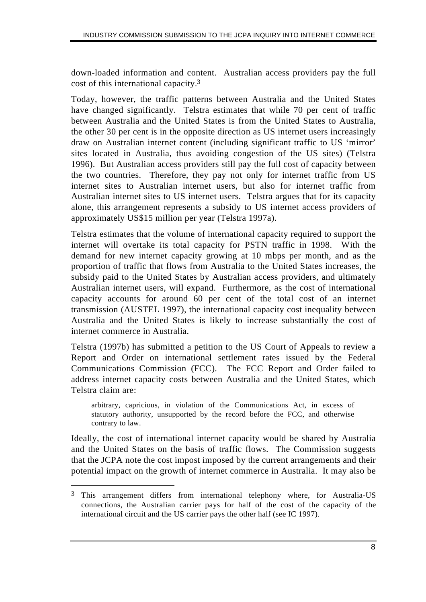down-loaded information and content. Australian access providers pay the full cost of this international capacity.3

Today, however, the traffic patterns between Australia and the United States have changed significantly. Telstra estimates that while 70 per cent of traffic between Australia and the United States is from the United States to Australia, the other 30 per cent is in the opposite direction as US internet users increasingly draw on Australian internet content (including significant traffic to US 'mirror' sites located in Australia, thus avoiding congestion of the US sites) (Telstra 1996). But Australian access providers still pay the full cost of capacity between the two countries. Therefore, they pay not only for internet traffic from US internet sites to Australian internet users, but also for internet traffic from Australian internet sites to US internet users. Telstra argues that for its capacity alone, this arrangement represents a subsidy to US internet access providers of approximately US\$15 million per year (Telstra 1997a).

Telstra estimates that the volume of international capacity required to support the internet will overtake its total capacity for PSTN traffic in 1998. With the demand for new internet capacity growing at 10 mbps per month, and as the proportion of traffic that flows from Australia to the United States increases, the subsidy paid to the United States by Australian access providers, and ultimately Australian internet users, will expand. Furthermore, as the cost of international capacity accounts for around 60 per cent of the total cost of an internet transmission (AUSTEL 1997), the international capacity cost inequality between Australia and the United States is likely to increase substantially the cost of internet commerce in Australia.

Telstra (1997b) has submitted a petition to the US Court of Appeals to review a Report and Order on international settlement rates issued by the Federal Communications Commission (FCC). The FCC Report and Order failed to address internet capacity costs between Australia and the United States, which Telstra claim are:

arbitrary, capricious, in violation of the Communications Act, in excess of statutory authority, unsupported by the record before the FCC, and otherwise contrary to law.

Ideally, the cost of international internet capacity would be shared by Australia and the United States on the basis of traffic flows. The Commission suggests that the JCPA note the cost impost imposed by the current arrangements and their potential impact on the growth of internet commerce in Australia. It may also be

 $\overline{a}$ 

<sup>&</sup>lt;sup>3</sup> This arrangement differs from international telephony where, for Australia-US connections, the Australian carrier pays for half of the cost of the capacity of the international circuit and the US carrier pays the other half (see IC 1997).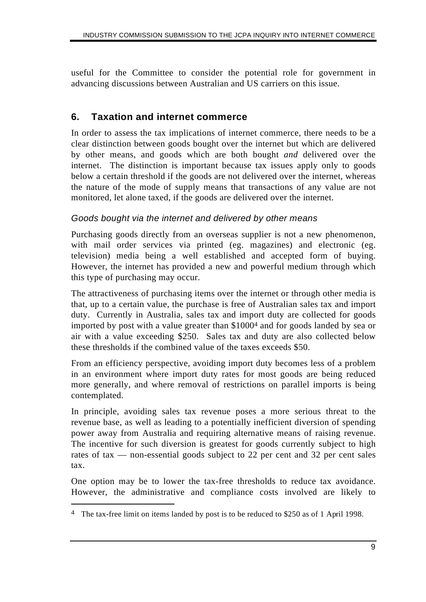useful for the Committee to consider the potential role for government in advancing discussions between Australian and US carriers on this issue.

## **6. Taxation and internet commerce**

In order to assess the tax implications of internet commerce, there needs to be a clear distinction between goods bought over the internet but which are delivered by other means, and goods which are both bought *and* delivered over the internet. The distinction is important because tax issues apply only to goods below a certain threshold if the goods are not delivered over the internet, whereas the nature of the mode of supply means that transactions of any value are not monitored, let alone taxed, if the goods are delivered over the internet.

#### *Goods bought via the internet and delivered by other means*

Purchasing goods directly from an overseas supplier is not a new phenomenon, with mail order services via printed (eg. magazines) and electronic (eg. television) media being a well established and accepted form of buying. However, the internet has provided a new and powerful medium through which this type of purchasing may occur.

The attractiveness of purchasing items over the internet or through other media is that, up to a certain value, the purchase is free of Australian sales tax and import duty. Currently in Australia, sales tax and import duty are collected for goods imported by post with a value greater than \$10004 and for goods landed by sea or air with a value exceeding \$250. Sales tax and duty are also collected below these thresholds if the combined value of the taxes exceeds \$50.

From an efficiency perspective, avoiding import duty becomes less of a problem in an environment where import duty rates for most goods are being reduced more generally, and where removal of restrictions on parallel imports is being contemplated.

In principle, avoiding sales tax revenue poses a more serious threat to the revenue base, as well as leading to a potentially inefficient diversion of spending power away from Australia and requiring alternative means of raising revenue. The incentive for such diversion is greatest for goods currently subject to high rates of tax — non-essential goods subject to 22 per cent and 32 per cent sales tax.

One option may be to lower the tax-free thresholds to reduce tax avoidance. However, the administrative and compliance costs involved are likely to

 $\overline{a}$ 

The tax-free limit on items landed by post is to be reduced to \$250 as of 1 April 1998.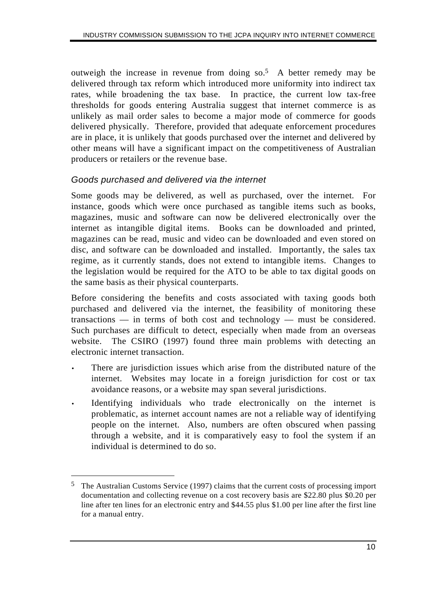outweigh the increase in revenue from doing so.5 A better remedy may be delivered through tax reform which introduced more uniformity into indirect tax rates, while broadening the tax base. In practice, the current low tax-free thresholds for goods entering Australia suggest that internet commerce is as unlikely as mail order sales to become a major mode of commerce for goods delivered physically. Therefore, provided that adequate enforcement procedures are in place, it is unlikely that goods purchased over the internet and delivered by other means will have a significant impact on the competitiveness of Australian producers or retailers or the revenue base.

#### *Goods purchased and delivered via the internet*

 $\overline{a}$ 

Some goods may be delivered, as well as purchased, over the internet. For instance, goods which were once purchased as tangible items such as books, magazines, music and software can now be delivered electronically over the internet as intangible digital items. Books can be downloaded and printed, magazines can be read, music and video can be downloaded and even stored on disc, and software can be downloaded and installed. Importantly, the sales tax regime, as it currently stands, does not extend to intangible items. Changes to the legislation would be required for the ATO to be able to tax digital goods on the same basis as their physical counterparts.

Before considering the benefits and costs associated with taxing goods both purchased and delivered via the internet, the feasibility of monitoring these transactions — in terms of both cost and technology — must be considered. Such purchases are difficult to detect, especially when made from an overseas website. The CSIRO (1997) found three main problems with detecting an electronic internet transaction.

- There are jurisdiction issues which arise from the distributed nature of the internet. Websites may locate in a foreign jurisdiction for cost or tax avoidance reasons, or a website may span several jurisdictions.
- Identifying individuals who trade electronically on the internet is problematic, as internet account names are not a reliable way of identifying people on the internet. Also, numbers are often obscured when passing through a website, and it is comparatively easy to fool the system if an individual is determined to do so.

<sup>5</sup> The Australian Customs Service (1997) claims that the current costs of processing import documentation and collecting revenue on a cost recovery basis are \$22.80 plus \$0.20 per line after ten lines for an electronic entry and \$44.55 plus \$1.00 per line after the first line for a manual entry.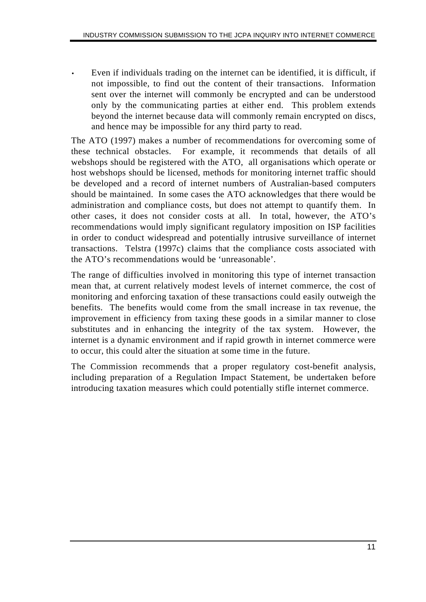Even if individuals trading on the internet can be identified, it is difficult, if not impossible, to find out the content of their transactions. Information sent over the internet will commonly be encrypted and can be understood only by the communicating parties at either end. This problem extends beyond the internet because data will commonly remain encrypted on discs, and hence may be impossible for any third party to read.

The ATO (1997) makes a number of recommendations for overcoming some of these technical obstacles. For example, it recommends that details of all webshops should be registered with the ATO, all organisations which operate or host webshops should be licensed, methods for monitoring internet traffic should be developed and a record of internet numbers of Australian-based computers should be maintained. In some cases the ATO acknowledges that there would be administration and compliance costs, but does not attempt to quantify them. In other cases, it does not consider costs at all. In total, however, the ATO's recommendations would imply significant regulatory imposition on ISP facilities in order to conduct widespread and potentially intrusive surveillance of internet transactions. Telstra (1997c) claims that the compliance costs associated with the ATO's recommendations would be 'unreasonable'.

The range of difficulties involved in monitoring this type of internet transaction mean that, at current relatively modest levels of internet commerce, the cost of monitoring and enforcing taxation of these transactions could easily outweigh the benefits. The benefits would come from the small increase in tax revenue, the improvement in efficiency from taxing these goods in a similar manner to close substitutes and in enhancing the integrity of the tax system. However, the internet is a dynamic environment and if rapid growth in internet commerce were to occur, this could alter the situation at some time in the future.

The Commission recommends that a proper regulatory cost-benefit analysis, including preparation of a Regulation Impact Statement, be undertaken before introducing taxation measures which could potentially stifle internet commerce.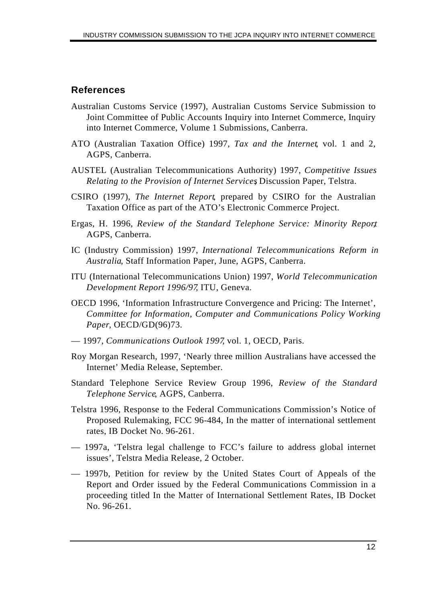## **References**

- Australian Customs Service (1997), Australian Customs Service Submission to Joint Committee of Public Accounts Inquiry into Internet Commerce, Inquiry into Internet Commerce, Volume 1 Submissions, Canberra.
- ATO (Australian Taxation Office) 1997, *Tax and the Internet*, vol. 1 and 2, AGPS, Canberra.
- AUSTEL (Australian Telecommunications Authority) 1997, *Competitive Issues Relating to the Provision of Internet Services*, Discussion Paper, Telstra.
- CSIRO (1997), *The Internet Report*, prepared by CSIRO for the Australian Taxation Office as part of the ATO's Electronic Commerce Project.
- Ergas, H. 1996, *Review of the Standard Telephone Service: Minority Report*, AGPS, Canberra.
- IC (Industry Commission) 1997, *International Telecommunications Reform in Australia*, Staff Information Paper, June, AGPS, Canberra.
- ITU (International Telecommunications Union) 1997, *World Telecommunication Development Report 1996/97*, ITU, Geneva.
- OECD 1996, 'Information Infrastructure Convergence and Pricing: The Internet', *Committee for Information, Computer and Communications Policy Working Paper*, OECD/GD(96)73.
- 1997, *Communications Outlook 1997*, vol. 1, OECD, Paris.
- Roy Morgan Research, 1997, 'Nearly three million Australians have accessed the Internet' Media Release, September.
- Standard Telephone Service Review Group 1996, *Review of the Standard Telephone Service*, AGPS, Canberra.
- Telstra 1996, Response to the Federal Communications Commission's Notice of Proposed Rulemaking, FCC 96-484, In the matter of international settlement rates, IB Docket No. 96-261.
- 1997a, 'Telstra legal challenge to FCC's failure to address global internet issues', Telstra Media Release, 2 October.
- 1997b, Petition for review by the United States Court of Appeals of the Report and Order issued by the Federal Communications Commission in a proceeding titled In the Matter of International Settlement Rates, IB Docket No. 96-261.